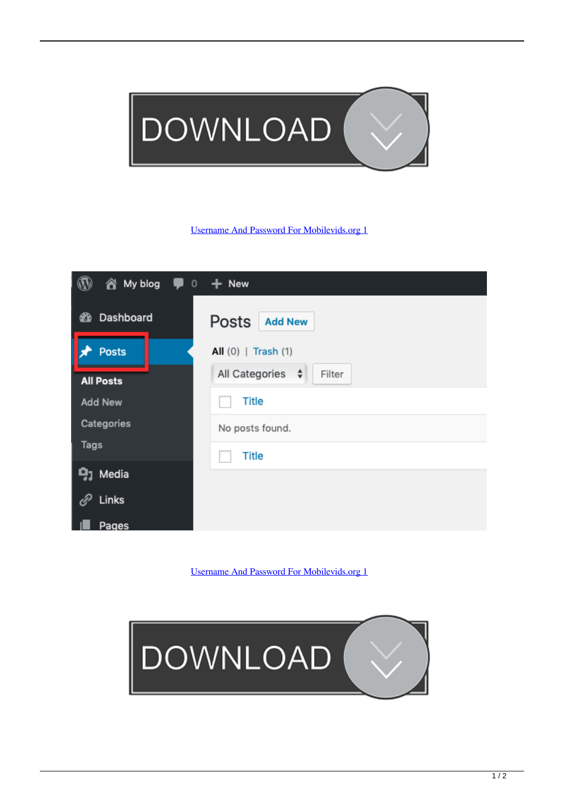

## [Username And Password For Mobilevids.org 1](https://tlniurl.com/1n3tat)

| My blog<br>â.<br>$\mathsf{O}\xspace$<br>T | $+$ New                       |
|-------------------------------------------|-------------------------------|
| Dashboard<br>☎                            | Posts<br><b>Add New</b>       |
| <b>Posts</b>                              | All $(0)$   Trash $(1)$       |
| <b>All Posts</b>                          | All Categories<br>Filter<br>÷ |
| <b>Add New</b>                            | <b>Title</b>                  |
| Categories                                | No posts found.               |
| Tags                                      | <b>Title</b>                  |
| <b>9</b> 1 Media                          |                               |
| Links                                     |                               |
| Pages                                     |                               |

[Username And Password For Mobilevids.org 1](https://tlniurl.com/1n3tat)